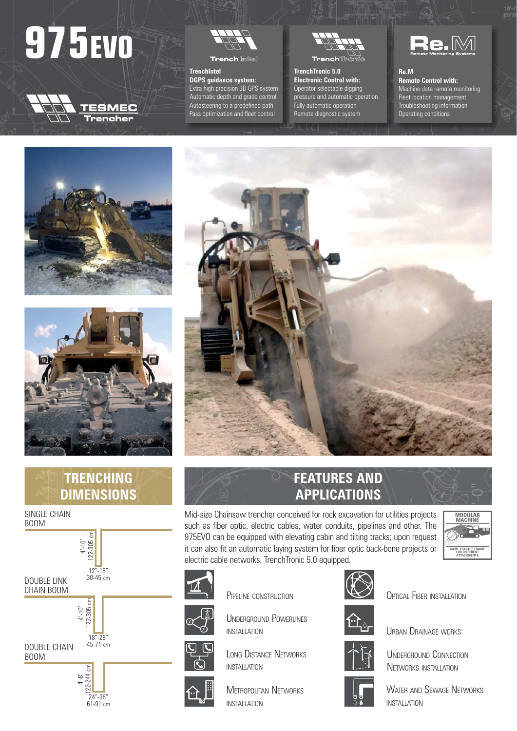# **975EVO**





**Trench** limits

# **TrenchIntel DGPS guidance system:**

Extra high precision 3D GPS system Automatic depth and grade control Autosteering to a predefined path Pass optimization and fleet control



# **TrenchTronic 5.0 Electronic Control with:** Operator selectable digging

pressure and automatic operation .<br>Fully automatic operation Remote diagnostic system



#### **Re.M Remote Control with:**

Machine data remote monitoring Fleet location management Troubleshooting information Operating conditions







#### SINGLE CHAIN BOOM





# **FEATURES AND APPLICATIONS**

Mid-size Chainsaw trencher conceived for rock excavation for utilities projects such as fiber optic, electric cables, water conduits, pipelines and other. The 975EVO can be equipped with elevating cabin and tilting tracks; upon request it can also fit an automatic laying system for fiber optic back-bone projects or electric cable networks. TrenchTronic 5.0 equipped.

UNDERGROUND POWERLINES

PIPELINE CONSTRUCTION

LONG DISTANCE NETWORKS

**METROPOLITAN NETWORKS** 

INSTALLATION

INSTALLATION

INSTALLATION





**OPTICAL FIBER INSTALLATION** 

URBAN DRAINAGE WORKS



UNDERGROUND CONNECTION NETWORKS INSTALLATION



WATER AND SEWAGE NETWORKS INSTALLATION